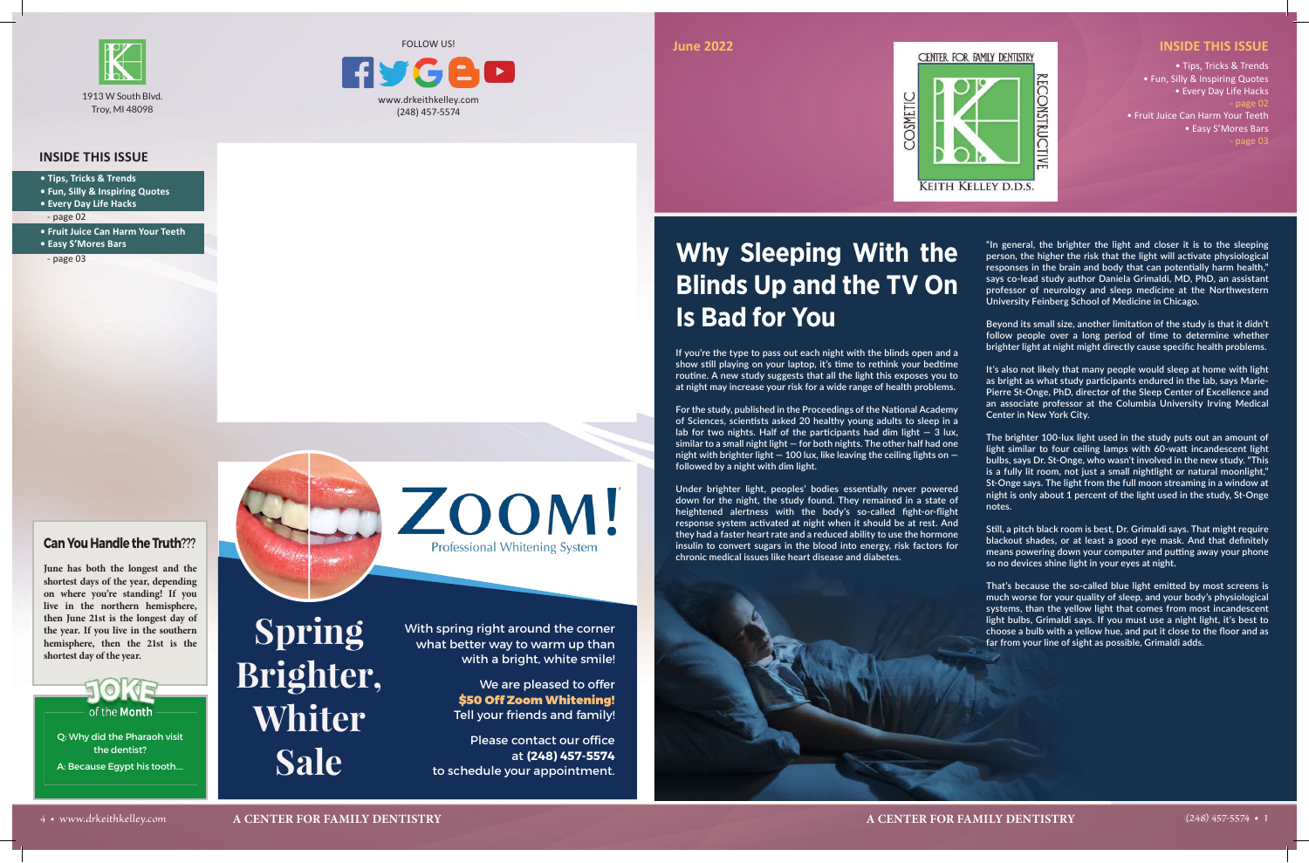

### **INSIDE THIS ISSUE**

• Tips, Tricks & Trends • Fun, Silly & Inspiring Quotes • Every Day Life Hacks - page 02 • Fruit Juice Can Harm Your Teeth • Easy S'Mores Bars - page 03

- **Tips, Tricks & Trends**
- **Fun, Silly & Inspiring Quotes**
- **Every Day Life Hacks**
- page 02
- **Fruit Juice Can Harm Your Teeth • Easy S'Mores Bars**

- page 03

www.drkeithkelley.com (248) 457-5574

IG P



## **Can You Handle the Truth**???

**June has both the longest and the shortest days of the year, depending on where you're standing! If you live in the northern hemisphere, then June 21st is the longest day of the year. If you live in the southern hemisphere, then the 21st is the shortest day of the year.**



**"In general, the brighter the light and closer it is to the sleeping person, the higher the risk that the light will activate physiological responses in the brain and body that can potentially harm health," says co-lead study author Daniela Grimaldi, MD, PhD, an assistant professor of neurology and sleep medicine at the Northwestern University Feinberg School of Medicine in Chicago.**

**Beyond its small size, another limitation of the study is that it didn't follow people over a long period of time to determine whether brighter light at night might directly cause specific health problems.**

**It's also not likely that many people would sleep at home with light as bright as what study participants endured in the lab, says Marie-Pierre St-Onge, PhD, director of the Sleep Center of Excellence and an associate professor at the Columbia University Irving Medical Center in New York City.**

**The brighter 100-lux light used in the study puts out an amount of light similar to four ceiling lamps with 60-watt incandescent light bulbs, says Dr. St-Onge, who wasn't involved in the new study. "This is a fully lit room, not just a small nightlight or natural moonlight," St-Onge says. The light from the full moon streaming in a window at night is only about 1 percent of the light used in the study, St-Onge notes.**

**Still, a pitch black room is best, Dr. Grimaldi says. That might require blackout shades, or at least a good eye mask. And that definitely means powering down your computer and putting away your phone so no devices shine light in your eyes at night.**

**That's because the so-called blue light emitted by most screens is much worse for your quality of sleep, and your body's physiological systems, than the yellow light that comes from most incandescent light bulbs, Grimaldi says. If you must use a night light, it's best to choose a bulb with a yellow hue, and put it close to the floor and as far from your line of sight as possible, Grimaldi adds.**

# **Why Sleeping With the Blinds Up and the TV On Is Bad for You**

**If you're the type to pass out each night with the blinds open and a show still playing on your laptop, it's time to rethink your bedtime routine. A new study suggests that all the light this exposes you to at night may increase your risk for a wide range of health problems.**

**For the study, published in the Proceedings of the National Academy of Sciences, scientists asked 20 healthy young adults to sleep in a lab for two nights. Half of the participants had dim light — 3 lux, similar to a small night light — for both nights. The other half had one night with brighter light — 100 lux, like leaving the ceiling lights on followed by a night with dim light.**

**Under brighter light, peoples' bodies essentially never powered down for the night, the study found. They remained in a state of heightened alertness with the body's so-called fight-or-flight response system activated at night when it should be at rest. And they had a faster heart rate and a reduced ability to use the hormone insulin to convert sugars in the blood into energy, risk factors for chronic medical issues like heart disease and diabetes.**



Q: Why did the Pharaoh visit the dentist? A: Because Egypt his tooth….



# **Spring Brighter, Whiter Sale**

With spring right around the corner what better way to warm up than with a bright, white smile!

> We are pleased to offer \$50 Off Zoom Whitening! Tell your friends and family!

Please contact our office at **(248) 457-5574** to schedule your appointment.